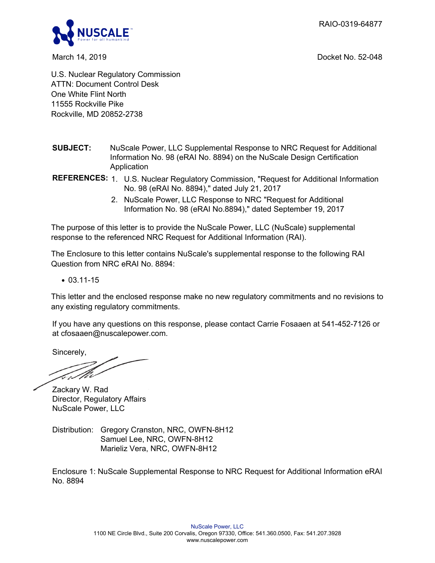RAIO-0319-64877



March 14, 2019 Docket No. 52-048

U.S. Nuclear Regulatory Commission ATTN: Document Control Desk One White Flint North 11555 Rockville Pike Rockville, MD 20852-2738

- **SUBJECT:** NuScale Power, LLC Supplemental Response to NRC Request for Additional Information No. 98 (eRAI No. 8894) on the NuScale Design Certification Application
- **REFERENCES:** 1. U.S. Nuclear Regulatory Commission, "Request for Additional Information No. 98 (eRAI No. 8894)," dated July 21, 2017
	- 2. NuScale Power, LLC Response to NRC "Request for Additional Information No. 98 (eRAI No.8894)," dated September 19, 2017

The purpose of this letter is to provide the NuScale Power, LLC (NuScale) supplemental response to the referenced NRC Request for Additional Information (RAI).

The Enclosure to this letter contains NuScale's supplemental response to the following RAI Question from NRC eRAI No. 8894:

 $\bullet$  03.11-15

This letter and the enclosed response make no new regulatory commitments and no revisions to any existing regulatory commitments.

If you have any questions on this response, please contact Carrie Fosaaen at 541-452-7126 or at cfosaaen@nuscalepower.com.

Sincerely,

ET

Zackary W. Rad Director, Regulatory Affairs NuScale Power, LLC

Distribution: Gregory Cranston, NRC, OWFN-8H12 Samuel Lee, NRC, OWFN-8H12 Marieliz Vera, NRC, OWFN-8H12

Enclosure 1: NuScale Supplemental Response to NRC Request for Additional Information eRAI No. 8894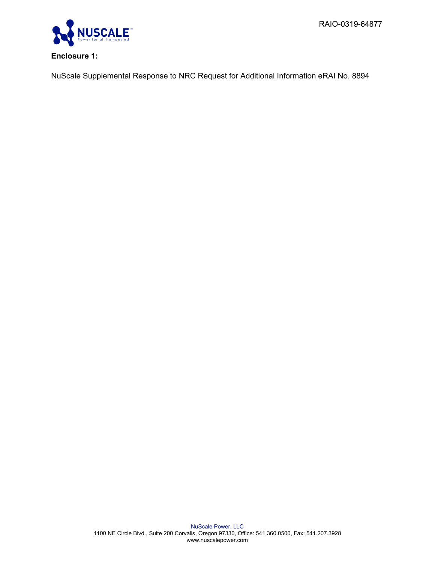RAIO-0319-64877



## **Enclosure 1:**

NuScale Supplemental Response to NRC Request for Additional Information eRAI No. 8894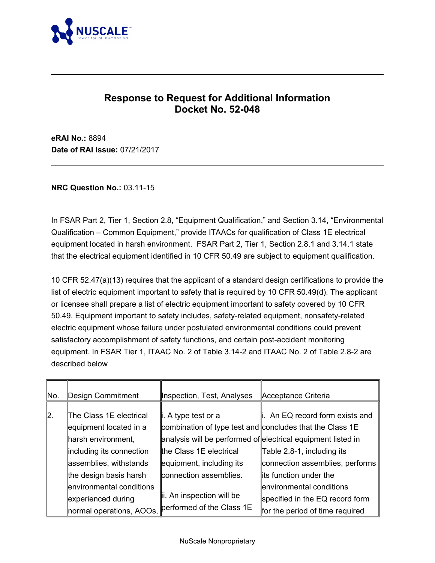

# **Response to Request for Additional Information Docket No. 52-048**

**eRAI No.:** 8894 **Date of RAI Issue:** 07/21/2017

**NRC Question No.:** 03.11-15

In FSAR Part 2, Tier 1, Section 2.8, "Equipment Qualification," and Section 3.14, "Environmental Qualification – Common Equipment," provide ITAACs for qualification of Class 1E electrical equipment located in harsh environment. FSAR Part 2, Tier 1, Section 2.8.1 and 3.14.1 state that the electrical equipment identified in 10 CFR 50.49 are subject to equipment qualification.

10 CFR 52.47(a)(13) requires that the applicant of a standard design certifications to provide the list of electric equipment important to safety that is required by 10 CFR 50.49(d). The applicant or licensee shall prepare a list of electric equipment important to safety covered by 10 CFR 50.49. Equipment important to safety includes, safety-related equipment, nonsafety-related electric equipment whose failure under postulated environmental conditions could prevent satisfactory accomplishment of safety functions, and certain post-accident monitoring equipment. In FSAR Tier 1, ITAAC No. 2 of Table 3.14-2 and ITAAC No. 2 of Table 2.8-2 are described below

| ∥No. | Design Commitment        | Inspection, Test, Analyses                                   | Acceptance Criteria             |
|------|--------------------------|--------------------------------------------------------------|---------------------------------|
| ∥2.  | The Class 1E electrical  | li. A type test or a                                         | . An EQ record form exists and  |
|      | equipment located in a   | combination of type test and concludes that the Class 1E     |                                 |
|      | harsh environment,       | analysis will be performed of electrical equipment listed in |                                 |
|      | including its connection | the Class 1E electrical                                      | Table 2.8-1, including its      |
|      | assemblies, withstands   | equipment, including its                                     | connection assemblies, performs |
|      | the design basis harsh   | connection assemblies.                                       | lits function under the         |
|      | environmental conditions |                                                              | environmental conditions        |
|      | experienced during       | lii. An inspection will be                                   | specified in the EQ record form |
|      | normal operations, AOOs, | performed of the Class 1E                                    | for the period of time required |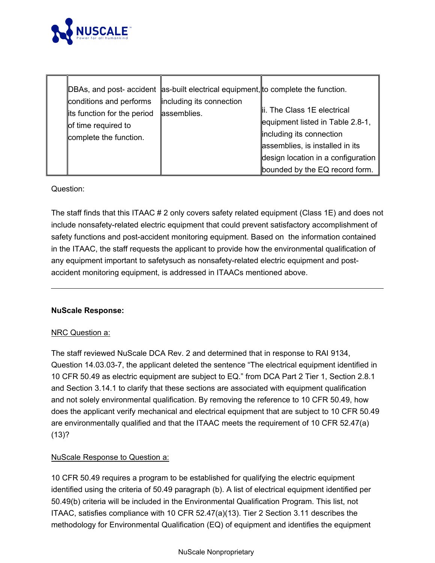

| conditions and performs<br>lits function for the period<br>of time required to<br>complete the function. | DBAs, and post- accident as-built electrical equipment, to complete the function.<br>including its connection<br>assemblies. | lii. The Class 1E electrical<br>equipment listed in Table 2.8-1,<br>including its connection<br>assemblies, is installed in its<br>design location in a configuration |
|----------------------------------------------------------------------------------------------------------|------------------------------------------------------------------------------------------------------------------------------|-----------------------------------------------------------------------------------------------------------------------------------------------------------------------|
|                                                                                                          |                                                                                                                              | bounded by the EQ record form.                                                                                                                                        |

Question:

The staff finds that this ITAAC # 2 only covers safety related equipment (Class 1E) and does not include nonsafety-related electric equipment that could prevent satisfactory accomplishment of safety functions and post-accident monitoring equipment. Based on the information contained in the ITAAC, the staff requests the applicant to provide how the environmental qualification of any equipment important to safetysuch as nonsafety-related electric equipment and postaccident monitoring equipment, is addressed in ITAACs mentioned above.

#### **NuScale Response:**

## NRC Question a:

The staff reviewed NuScale DCA Rev. 2 and determined that in response to RAI 9134, Question 14.03.03-7, the applicant deleted the sentence "The electrical equipment identified in 10 CFR 50.49 as electric equipment are subject to EQ." from DCA Part 2 Tier 1, Section 2.8.1 and Section 3.14.1 to clarify that these sections are associated with equipment qualification and not solely environmental qualification. By removing the reference to 10 CFR 50.49, how does the applicant verify mechanical and electrical equipment that are subject to 10 CFR 50.49 are environmentally qualified and that the ITAAC meets the requirement of 10 CFR 52.47(a) (13)?

## NuScale Response to Question a:

10 CFR 50.49 requires a program to be established for qualifying the electric equipment identified using the criteria of 50.49 paragraph (b). A list of electrical equipment identified per 50.49(b) criteria will be included in the Environmental Qualification Program. This list, not ITAAC, satisfies compliance with 10 CFR 52.47(a)(13). Tier 2 Section 3.11 describes the methodology for Environmental Qualification (EQ) of equipment and identifies the equipment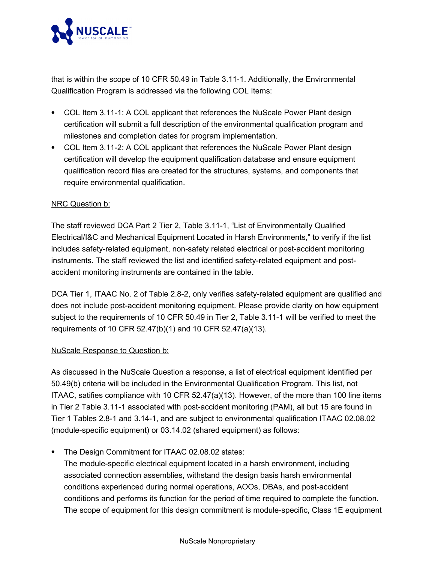

that is within the scope of 10 CFR 50.49 in Table 3.11-1. Additionally, the Environmental Qualification Program is addressed via the following COL Items:

- · COL Item 3.11-1: A COL applicant that references the NuScale Power Plant design certification will submit a full description of the environmental qualification program and milestones and completion dates for program implementation.
- · COL Item 3.11-2: A COL applicant that references the NuScale Power Plant design certification will develop the equipment qualification database and ensure equipment qualification record files are created for the structures, systems, and components that require environmental qualification.

## NRC Question b:

The staff reviewed DCA Part 2 Tier 2, Table 3.11-1, "List of Environmentally Qualified Electrical/I&C and Mechanical Equipment Located in Harsh Environments," to verify if the list includes safety-related equipment, non-safety related electrical or post-accident monitoring instruments. The staff reviewed the list and identified safety-related equipment and postaccident monitoring instruments are contained in the table.

DCA Tier 1, ITAAC No. 2 of Table 2.8-2, only verifies safety-related equipment are qualified and does not include post-accident monitoring equipment. Please provide clarity on how equipment subject to the requirements of 10 CFR 50.49 in Tier 2, Table 3.11-1 will be verified to meet the requirements of 10 CFR 52.47(b)(1) and 10 CFR 52.47(a)(13).

#### NuScale Response to Question b:

As discussed in the NuScale Question a response, a list of electrical equipment identified per 50.49(b) criteria will be included in the Environmental Qualification Program. This list, not ITAAC, satifies compliance with 10 CFR 52.47(a)(13). However, of the more than 100 line items in Tier 2 Table 3.11-1 associated with post-accident monitoring (PAM), all but 15 are found in Tier 1 Tables 2.8-1 and 3.14-1, and are subject to environmental qualification ITAAC 02.08.02 (module-specific equipment) or 03.14.02 (shared equipment) as follows:

· The Design Commitment for ITAAC 02.08.02 states:

The module-specific electrical equipment located in a harsh environment, including associated connection assemblies, withstand the design basis harsh environmental conditions experienced during normal operations, AOOs, DBAs, and post-accident conditions and performs its function for the period of time required to complete the function. The scope of equipment for this design commitment is module-specific, Class 1E equipment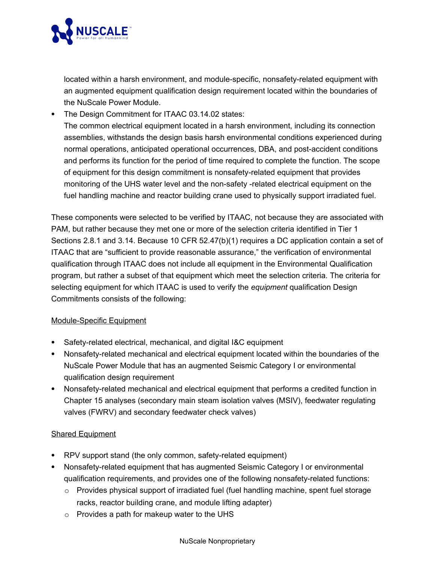

located within a harsh environment, and module-specific, nonsafety-related equipment with an augmented equipment qualification design requirement located within the boundaries of the NuScale Power Module.

· The Design Commitment for ITAAC 03.14.02 states: The common electrical equipment located in a harsh environment, including its connection assemblies, withstands the design basis harsh environmental conditions experienced during normal operations, anticipated operational occurrences, DBA, and post-accident conditions and performs its function for the period of time required to complete the function. The scope of equipment for this design commitment is nonsafety-related equipment that provides monitoring of the UHS water level and the non-safety -related electrical equipment on the fuel handling machine and reactor building crane used to physically support irradiated fuel.

These components were selected to be verified by ITAAC, not because they are associated with PAM, but rather because they met one or more of the selection criteria identified in Tier 1 Sections 2.8.1 and 3.14. Because 10 CFR 52.47(b)(1) requires a DC application contain a set of ITAAC that are "sufficient to provide reasonable assurance," the verification of environmental qualification through ITAAC does not include all equipment in the Environmental Qualification program, but rather a subset of that equipment which meet the selection criteria. The criteria for selecting equipment for which ITAAC is used to verify the *equipment* qualification Design Commitments consists of the following:

## Module-Specific Equipment

- · Safety-related electrical, mechanical, and digital I&C equipment
- · Nonsafety-related mechanical and electrical equipment located within the boundaries of the NuScale Power Module that has an augmented Seismic Category I or environmental qualification design requirement
- · Nonsafety-related mechanical and electrical equipment that performs a credited function in Chapter 15 analyses (secondary main steam isolation valves (MSIV), feedwater regulating valves (FWRV) and secondary feedwater check valves)

## Shared Equipment

- · RPV support stand (the only common, safety-related equipment)
- · Nonsafety-related equipment that has augmented Seismic Category I or environmental qualification requirements, and provides one of the following nonsafety-related functions:
	- o Provides physical support of irradiated fuel (fuel handling machine, spent fuel storage racks, reactor building crane, and module lifting adapter)
	- o Provides a path for makeup water to the UHS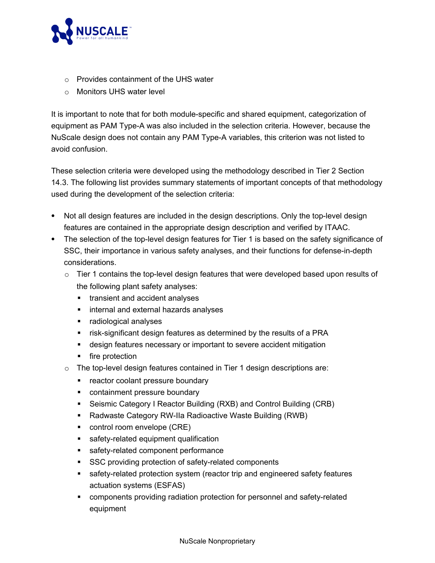

- o Provides containment of the UHS water
- o Monitors UHS water level

It is important to note that for both module-specific and shared equipment, categorization of equipment as PAM Type-A was also included in the selection criteria. However, because the NuScale design does not contain any PAM Type-A variables, this criterion was not listed to avoid confusion.

These selection criteria were developed using the methodology described in Tier 2 Section 14.3. The following list provides summary statements of important concepts of that methodology used during the development of the selection criteria:

- · Not all design features are included in the design descriptions. Only the top-level design features are contained in the appropriate design description and verified by ITAAC.
- The selection of the top-level design features for Tier 1 is based on the safety significance of SSC, their importance in various safety analyses, and their functions for defense-in-depth considerations.
	- $\circ$  Tier 1 contains the top-level design features that were developed based upon results of the following plant safety analyses:
		- transient and accident analyses
		- internal and external hazards analyses
		- radiological analyses
		- **•** risk-significant design features as determined by the results of a PRA
		- design features necessary or important to severe accident mitigation
		- fire protection
	- o The top-level design features contained in Tier 1 design descriptions are:
		- reactor coolant pressure boundary
		- containment pressure boundary
		- Seismic Category I Reactor Building (RXB) and Control Building (CRB)
		- Radwaste Category RW-IIa Radioactive Waste Building (RWB)
		- control room envelope (CRE)
		- safety-related equipment qualification
		- safety-related component performance
		- SSC providing protection of safety-related components
		- safety-related protection system (reactor trip and engineered safety features actuation systems (ESFAS)
		- § components providing radiation protection for personnel and safety-related equipment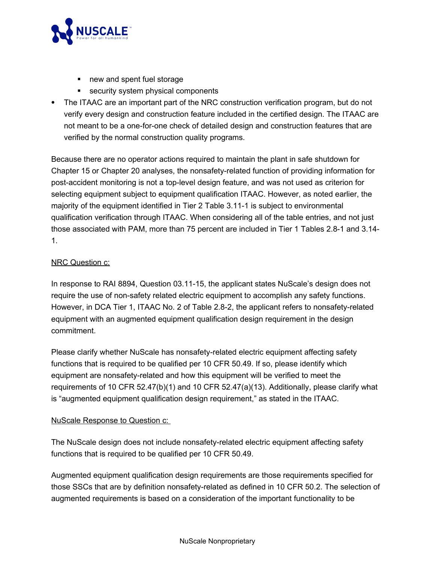

- new and spent fuel storage
- security system physical components
- · The ITAAC are an important part of the NRC construction verification program, but do not verify every design and construction feature included in the certified design. The ITAAC are not meant to be a one-for-one check of detailed design and construction features that are verified by the normal construction quality programs.

Because there are no operator actions required to maintain the plant in safe shutdown for Chapter 15 or Chapter 20 analyses, the nonsafety-related function of providing information for post-accident monitoring is not a top-level design feature, and was not used as criterion for selecting equipment subject to equipment qualification ITAAC. However, as noted earlier, the majority of the equipment identified in Tier 2 Table 3.11-1 is subject to environmental qualification verification through ITAAC. When considering all of the table entries, and not just those associated with PAM, more than 75 percent are included in Tier 1 Tables 2.8-1 and 3.14- 1.

## NRC Question c:

In response to RAI 8894, Question 03.11-15, the applicant states NuScale's design does not require the use of non-safety related electric equipment to accomplish any safety functions. However, in DCA Tier 1, ITAAC No. 2 of Table 2.8-2, the applicant refers to nonsafety-related equipment with an augmented equipment qualification design requirement in the design commitment.

Please clarify whether NuScale has nonsafety-related electric equipment affecting safety functions that is required to be qualified per 10 CFR 50.49. If so, please identify which equipment are nonsafety-related and how this equipment will be verified to meet the requirements of 10 CFR 52.47(b)(1) and 10 CFR 52.47(a)(13). Additionally, please clarify what is "augmented equipment qualification design requirement," as stated in the ITAAC.

## NuScale Response to Question c:

The NuScale design does not include nonsafety-related electric equipment affecting safety functions that is required to be qualified per 10 CFR 50.49.

Augmented equipment qualification design requirements are those requirements specified for those SSCs that are by definition nonsafety-related as defined in 10 CFR 50.2. The selection of augmented requirements is based on a consideration of the important functionality to be